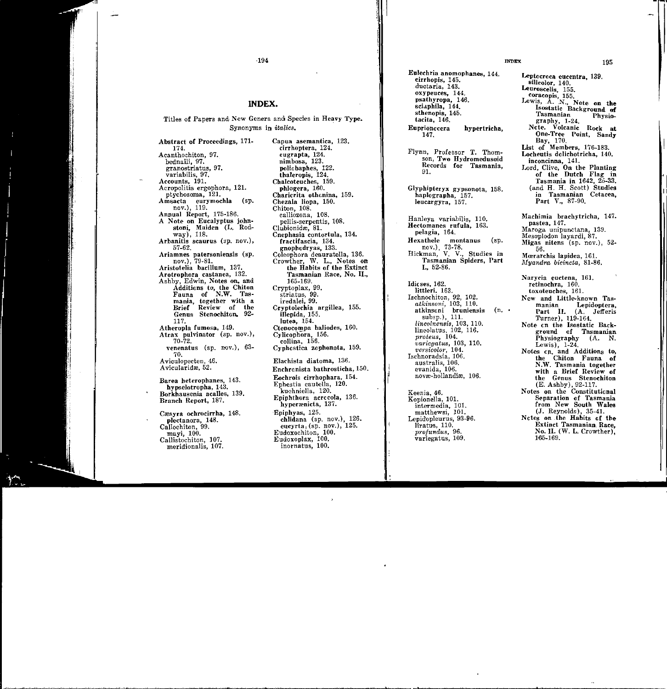INDEX

Eulechria anomophanes, 144. cirrhopis, 145. ductaria, 143. oxypeuces, 144. psathyropa, 146. sciaphila, 144. sthenopis, 145. tacita, 146. Euprionocera hypertricha, 147.

Flynn, Professor T. Thomson, Two Hydromedusoid Records for Tasmania, 91.

Glyphipteryx gypsonota, 158. haplographa, 157. leucargyra, 157.

Hanleya variabilis, 110. Hectomanes rufula, 163. pelagia, 164. Hexathele montanus (sp. nov.). 73-78. Hickman, V. V., Studies in Tasmanian Spiders, Part I., 52-86.

Idicses, 162. littleri. 163. Ischnochiton, 92, 102. *atkinsoni,* 103, 110. atkinsoni bruniensis (n. • Turner), 119-164. subsp.), 111. *lincolnensis,* 103, 110. lineolatus, 102, 116. *proteus,* 104. *varicgatus,* 103, 110. *versicolor,* 104. Ischnoradsia, 106. australis, 106. evanida, 106. novæ-hollandiæ, 106.

Keenia, 46. Kopionella, 101. intermedia, 101. matthewsi, 101. Lepid'opleurus, 93-96. liratus, 110. *profundus,* 96. variegatus, 109.

Leptocroca eucentra, 139. silicolor, 140. Leuroscelis, 155. coracopis 155. Lewis, A. N., Note on the Isostatic Background of Tasmanian Physicgraphy, 1-24. Ncte. Volcanic Rock at One-Tree Point, Sandy Bay, 170. List of Members, 176-183. Locheutis dclichotricha, 140. inconcinna, 141. Lord, Clive, On the Planting of the Dutch Flag in Tasmania in 1642, 25-33. (and H. H. Scott) Studies in Tasmanian Cetacea, Part V., 87-90. Machimia brachytricha, 147. pastea, 147. Maroga unipunctana, 139. Mesoplodon layardi, 87.

Migas nitens (sp. nov.), 52- 56. Mœrarchis lapidea, 161.

*ftfyandra bicincta,* 81-86,

Narycia euctena, 161. retinochra, 160. toxoteuches, 161. New and Little-known Tasmanian Lepidoptera, Part II. (A. Jefferis<br>Turner). 119-164. Note en the Isostatic Background of Tasmanian<br>Physiography (A. N. Physiography Lewis), 1-24. Notes en. and Additions to, the Chiton Fauna of N.W. Tasmania together with a Brief Review of the Genus Stenochiton (E. Ashby), 92-117. Notes on the Constitutional Separation of Tasmania from New South Wales (J. Reynolds), 35-41. Nctes on .the Habits Gf the Extinct Tasmanian Race, No. II. (W. L. Crowther),

1w-169.

## ·194

## INDEX.

Titles of Papers and New Genera and Species in Heavy Type. Synonyms in *italics.* 

Abstract of Proceedings, 171- 174. Acanthochiton, 97. bednalli, 97. granostriatus, 97. variabilis, 97. Accounts, 191. Acropolitis ergophora, 121. ptychosoma, 121. Arnsacta eurymochla (sp. nov.), 119. Annual Report, 175-186. A Note on Eucalyptus johnstoni, Maiden (L. Rodway), 118. Arbanitis scaurus (sp. nov.), 57-62. Ariamnes patersoniensis (sp. nov.), 79-81. Aristotelia bacillum, 137. Arotrophora castanea, 132. Ashby, Edwin, Notes on, and Additions to, the Chiton Fauna of N.W. Tasmania, together with a Brief Review of Genus Stenochiton. 92-117. Atheropla fumosa, 149. Atrax pulvinator (sp. nov.), 70-72. venenatus (sp. nov.), 63- 70. Aviculopecten, 46. Avicularidæ, 52. Barea heterophanes, 143. hypselotropha, 143. Borkhausenia acalles, 139. Branch Report, 187. Cæsyra ochrocirrha, 148. plectanora, 148. Callochiton, 99. mayi, 100. Callistochiton, 107.

meridionalis, 107.

Capua asemantica, 123. cirrhoptera, 124. eugrapta, 124. nimbosa, 123. poliobaphes, 122. thaleropis, 124. Chalcoteuches, 159. phlogera, 160. Charicrita othonina, 159. Chezala liopa, 150, Chiton, 108. calliozona, 108. pellis-serpentis, 108. Clubionidæ. 81. Cnephasia contortula, 134. fractifascia, 134. gnophodryas, 133. Coleophora deauratella, 136. Crowther, W. L., Notes on the Habits of the Extinct Tasmanian Race, No. II., 165-169. Cryptoplax, 99. striatus, 99. iredalei, 99, Cryptolechia argillea, 155. illepida, 155. Iutea, 154. Ctenocompa baliodes, 160. Cylicophora, 156. collina, 156. Cyphcstica zcphonota, 159. Elachista diatoma, 136. Enchronista bathrosticha, Eochrois cirrhophara, 154. Ephestia cautella, 120. kuehniella, 120. Epiphthora acrccola, 136. hyperænicta, 137. Epiphyas, 125. chlidana (sp. nov.), 126. eucyrta;  $(sp. nov.)$ ,  $125$ . Eudoxochiton, 100. Eudoxoplax, 100. inornatus, 100.

195